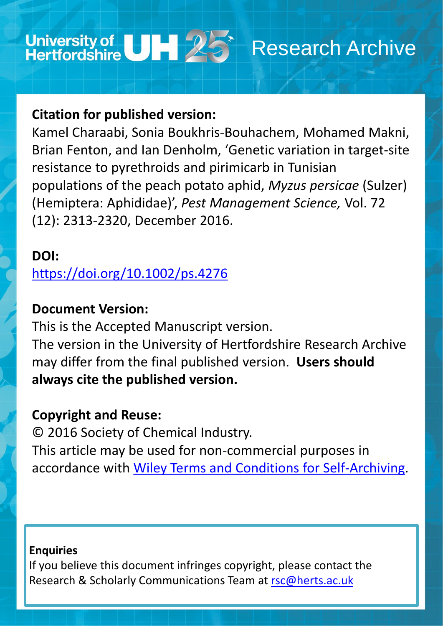# University of UII 23 Research Archive

## **Citation for published version:**

Kamel Charaabi, Sonia Boukhris-Bouhachem, Mohamed Makni, Brian Fenton, and Ian Denholm, 'Genetic variation in target-site resistance to pyrethroids and pirimicarb in Tunisian populations of the peach potato aphid, *Myzus persicae* (Sulzer) (Hemiptera: Aphididae)', *Pest Management Science,* Vol. 72 (12): 2313-2320, December 2016.

## **DOI:**

<https://doi.org/10.1002/ps.4276>

## If you believe this document infringes copyright, please contact the Research & Scholarly Communications Team at [rsc@herts.ac.uk](mailto:rsc@herts.ac.uk)

## **Document Version:**

This is the Accepted Manuscript version. The version in the University of Hertfordshire Research Archive may differ from the final published version. **Users should always cite the published version.**

## **Copyright and Reuse:**

© 2016 Society of Chemical Industry. This article may be used for non-commercial purposes in accordance with [Wiley Terms and Conditions for Self-Archiving](http://olabout.wiley.com/WileyCDA/Section/id-828039.html#terms).

## **Enquiries**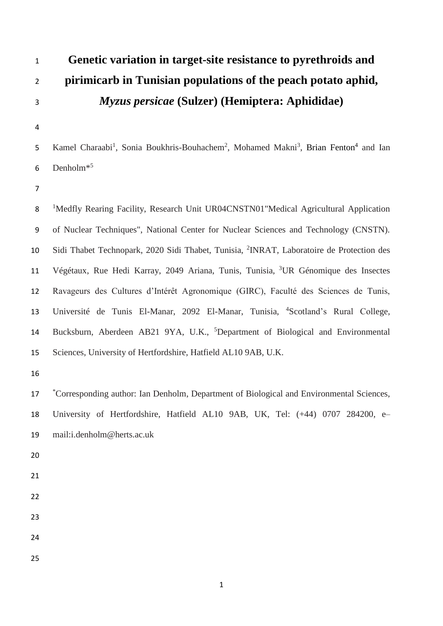## **Genetic variation in target-site resistance to pyrethroids and pirimicarb in Tunisian populations of the peach potato aphid,** *Myzus persicae* **(Sulzer) (Hemiptera: Aphididae)**

5 Kamel Charaabi<sup>1</sup>, Sonia Boukhris-Bouhachem<sup>2</sup>, Mohamed Makni<sup>3</sup>, Brian Fenton<sup>4</sup> and Ian Denholm<sup>\*5</sup> 

 <sup>1</sup>Medfly Rearing Facility, Research Unit UR04CNSTN01"Medical Agricultural Application of Nuclear Techniques", National Center for Nuclear Sciences and Technology (CNSTN). 10 Sidi Thabet Technopark, 2020 Sidi Thabet, Tunisia, <sup>2</sup>INRAT, Laboratoire de Protection des 11 Végétaux, Rue Hedi Karray, 2049 Ariana, Tunis, Tunisia, <sup>3</sup>UR Génomique des Insectes Ravageurs des Cultures d'Intérêt Agronomique (GIRC), Faculté des Sciences de Tunis, 13 Université de Tunis El-Manar, 2092 El-Manar, Tunisia, <sup>4</sup>Scotland's Rural College, 14 Bucksburn, Aberdeen AB21 9YA, U.K., <sup>5</sup>Department of Biological and Environmental Sciences, University of Hertfordshire, Hatfield AL10 9AB, U.K.

17 \* Corresponding author: Ian Denholm, Department of Biological and Environmental Sciences, University of Hertfordshire, Hatfield AL10 9AB, UK, Tel: (+44) 0707 284200, e– mail:i.denholm@herts.ac.uk

- 
- 
- 
- 
- 
-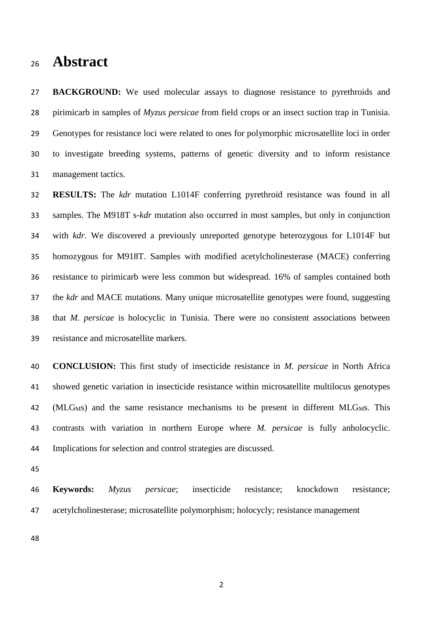#### **Abstract**

 **BACKGROUND:** We used molecular assays to diagnose resistance to pyrethroids and pirimicarb in samples of *Myzus persicae* from field crops or an insect suction trap in Tunisia. Genotypes for resistance loci were related to ones for polymorphic microsatellite loci in order to investigate breeding systems, patterns of genetic diversity and to inform resistance management tactics.

 **RESULTS:** The *kdr* mutation L1014F conferring pyrethroid resistance was found in all samples. The M918T s-*kdr* mutation also occurred in most samples, but only in conjunction with *kdr*. We discovered a previously unreported genotype heterozygous for L1014F but homozygous for M918T. Samples with modified acetylcholinesterase (MACE) conferring resistance to pirimicarb were less common but widespread. 16% of samples contained both the *kdr* and MACE mutations. Many unique microsatellite genotypes were found, suggesting that *M. persicae* is holocyclic in Tunisia. There were no consistent associations between resistance and microsatellite markers.

 **CONCLUSION:** This first study of insecticide resistance in *M. persicae* in North Africa showed genetic variation in insecticide resistance within microsatellite multilocus genotypes (MLG<sub>MS</sub>) and the same resistance mechanisms to be present in different MLG<sub>MS</sub>. This contrasts with variation in northern Europe where *M. persicae* is fully anholocyclic. Implications for selection and control strategies are discussed.

 **Keywords:** *Myzus persicae*; insecticide resistance; knockdown resistance; acetylcholinesterase; microsatellite polymorphism; holocycly; resistance management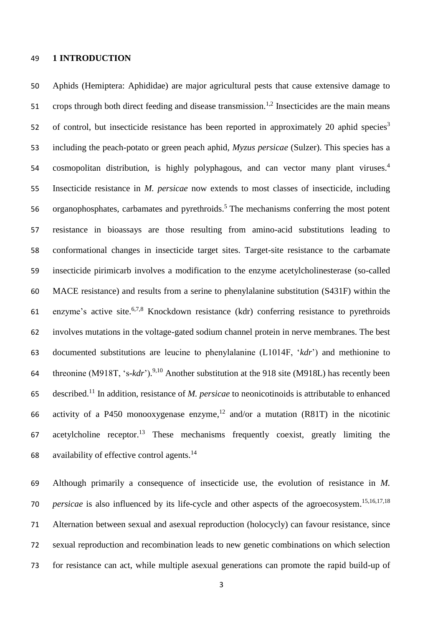#### **1 INTRODUCTION**

 Aphids (Hemiptera: Aphididae) are major agricultural pests that cause extensive damage to 51 crops through both direct feeding and disease transmission.<sup>1,2</sup> Insecticides are the main means of control, but insecticide resistance has been reported in approximately 20 aphid species<sup>3</sup> including the peach-potato or green peach aphid, *Myzus persicae* (Sulzer). This species has a cosmopolitan distribution, is highly polyphagous, and can vector many plant viruses. 4 Insecticide resistance in *M. persicae* now extends to most classes of insecticide, including 56 organophosphates, carbamates and pyrethroids.<sup>5</sup> The mechanisms conferring the most potent resistance in bioassays are those resulting from amino-acid substitutions leading to conformational changes in insecticide target sites. Target-site resistance to the carbamate insecticide pirimicarb involves a modification to the enzyme acetylcholinesterase (so-called MACE resistance) and results from a serine to phenylalanine substitution (S431F) within the 61 enzyme's active site.<sup>6,7,8</sup> Knockdown resistance (kdr) conferring resistance to pyrethroids involves mutations in the voltage-gated sodium channel protein in nerve membranes. The best documented substitutions are leucine to phenylalanine (L1014F, '*kdr*') and methionine to 64 threonine (M918T, 's-kdr').<sup>9,10</sup> Another substitution at the 918 site (M918L) has recently been 65 described.<sup>11</sup> In addition, resistance of *M. persicae* to neonicotinoids is attributable to enhanced 66 activity of a P450 monooxygenase enzyme,<sup>12</sup> and/or a mutation (R81T) in the nicotinic 67 acetylcholine receptor.<sup>13</sup> These mechanisms frequently coexist, greatly limiting the 68 availability of effective control agents.<sup>14</sup>

 Although primarily a consequence of insecticide use, the evolution of resistance in *M. persicae* is also influenced by its life-cycle and other aspects of the agroecosystem.<sup>15,16,17,18</sup> Alternation between sexual and asexual reproduction (holocycly) can favour resistance, since sexual reproduction and recombination leads to new genetic combinations on which selection for resistance can act, while multiple asexual generations can promote the rapid build-up of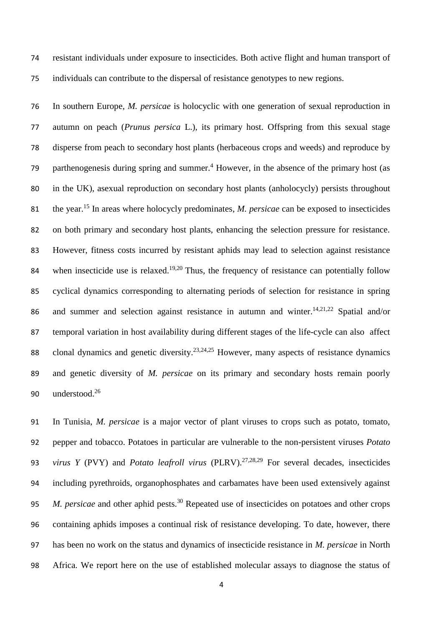resistant individuals under exposure to insecticides. Both active flight and human transport of individuals can contribute to the dispersal of resistance genotypes to new regions.

 In southern Europe, *M. persicae* is holocyclic with one generation of sexual reproduction in autumn on peach (*Prunus persica* L.), its primary host. Offspring from this sexual stage disperse from peach to secondary host plants (herbaceous crops and weeds) and reproduce by 79 parthenogenesis during spring and summer.<sup>4</sup> However, in the absence of the primary host (as in the UK), asexual reproduction on secondary host plants (anholocycly) persists throughout 81 the year.<sup>15</sup> In areas where holocycly predominates, *M. persicae* can be exposed to insecticides on both primary and secondary host plants, enhancing the selection pressure for resistance. However, fitness costs incurred by resistant aphids may lead to selection against resistance 84 when insecticide use is relaxed.<sup>19,20</sup> Thus, the frequency of resistance can potentially follow cyclical dynamics corresponding to alternating periods of selection for resistance in spring 86 and summer and selection against resistance in autumn and winter.<sup>14,21,22</sup> Spatial and/or temporal variation in host availability during different stages of the life-cycle can also affect 88 clonal dynamics and genetic diversity.<sup>23,24,25</sup> However, many aspects of resistance dynamics and genetic diversity of *M. persicae* on its primary and secondary hosts remain poorly 90 understood.<sup>26</sup>

 In Tunisia, *M. persicae* is a major vector of plant viruses to crops such as potato, tomato, pepper and tobacco. Potatoes in particular are vulnerable to the non-persistent viruses *Potato virus Y* (PVY) and *Potato leafroll virus* (PLRV).<sup>27,28,29</sup> For several decades, insecticides including pyrethroids, organophosphates and carbamates have been used extensively against *M. persicae* and other aphid pests.<sup>30</sup> Repeated use of insecticides on potatoes and other crops containing aphids imposes a continual risk of resistance developing. To date, however, there has been no work on the status and dynamics of insecticide resistance in *M. persicae* in North Africa. We report here on the use of established molecular assays to diagnose the status of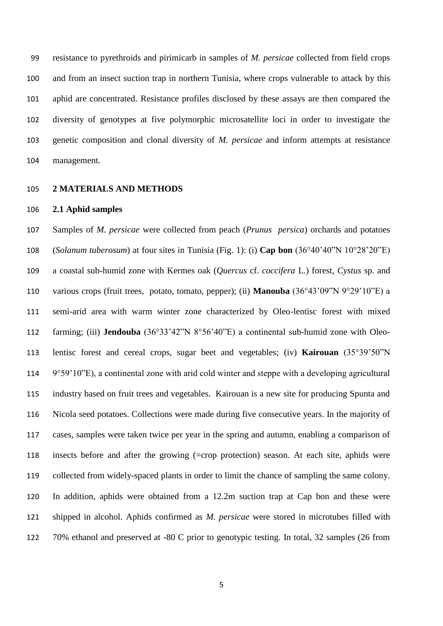resistance to pyrethroids and pirimicarb in samples of *M. persicae* collected from field crops and from an insect suction trap in northern Tunisia, where crops vulnerable to attack by this aphid are concentrated. Resistance profiles disclosed by these assays are then compared the diversity of genotypes at five polymorphic microsatellite loci in order to investigate the genetic composition and clonal diversity of *M. persicae* and inform attempts at resistance management.

#### **2 MATERIALS AND METHODS**

#### **2.1 Aphid samples**

 Samples of *M. persicae* were collected from peach (*Prunus persica*) orchards and potatoes (*Solanum tuberosum*) at four sites in Tunisia (Fig. 1): (i) **Cap bon** (36°40'40"N 10°28'20"E) a coastal sub-humid zone with Kermes oak (*Quercus* cf. *coccifera* L.) forest, *Cystus* sp. and various crops (fruit trees, potato, tomato, pepper); (ii) **Manouba** (36°43'09"N 9°29'10"E) a semi-arid area with warm winter zone characterized by Oleo-lentisc forest with mixed farming; (iii) **Jendouba** (36°33'42"N 8°56'40"E) a continental sub-humid zone with Oleo- lentisc forest and cereal crops, sugar beet and vegetables; (iv) **Kairouan** (35°39'50"N 9°59'10"E), a continental zone with arid cold winter and steppe with a developing agricultural industry based on fruit trees and vegetables. Kairouan is a new site for producing Spunta and Nicola seed potatoes. Collections were made during five consecutive years. In the majority of cases, samples were taken twice per year in the spring and autumn, enabling a comparison of insects before and after the growing (=crop protection) season. At each site, aphids were collected from widely-spaced plants in order to limit the chance of sampling the same colony. In addition, aphids were obtained from a 12.2m suction trap at Cap bon and these were shipped in alcohol. Aphids confirmed as *M. persicae* were stored in microtubes filled with 70% ethanol and preserved at -80 C prior to genotypic testing. In total, 32 samples (26 from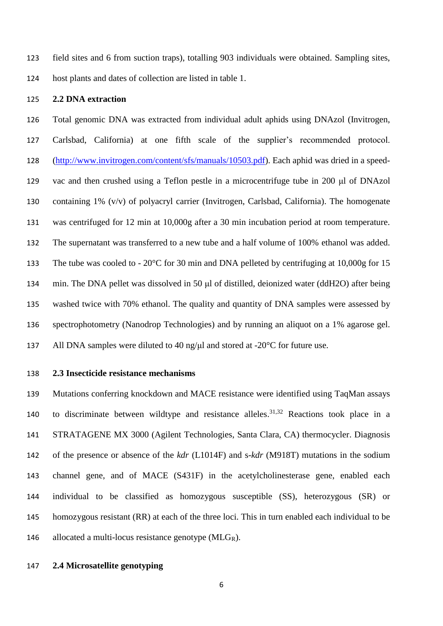field sites and 6 from suction traps), totalling 903 individuals were obtained. Sampling sites, host plants and dates of collection are listed in table 1.

#### **2.2 DNA extraction**

 Total genomic DNA was extracted from individual adult aphids using DNAzol (Invitrogen, Carlsbad, California) at one fifth scale of the supplier's recommended protocol. [\(http://www.invitrogen.com/content/sfs/manuals/10503.pdf\)](http://www.invitrogen.com/content/sfs/manuals/10503.pdf). Each aphid was dried in a speed- vac and then crushed using a Teflon pestle in a microcentrifuge tube in 200 μl of DNAzol 130 containing 1%  $(v/v)$  of polyacryl carrier (Invitrogen, Carlsbad, California). The homogenate was centrifuged for 12 min at 10,000g after a 30 min incubation period at room temperature. The supernatant was transferred to a new tube and a half volume of 100% ethanol was added. 133 The tube was cooled to - 20<sup>o</sup>C for 30 min and DNA pelleted by centrifuging at 10,000g for 15 min. The DNA pellet was dissolved in 50 μl of distilled, deionized water (ddH2O) after being washed twice with 70% ethanol. The quality and quantity of DNA samples were assessed by spectrophotometry (Nanodrop Technologies) and by running an aliquot on a 1% agarose gel. 137 All DNA samples were diluted to 40 ng/ $\mu$ l and stored at -20 $\degree$ C for future use.

#### **2.3 Insecticide resistance mechanisms**

 Mutations conferring knockdown and MACE resistance were identified using TaqMan assays 140 to discriminate between wildtype and resistance alleles.<sup>31,32</sup> Reactions took place in a STRATAGENE MX 3000 (Agilent Technologies, Santa Clara, CA) thermocycler. Diagnosis of the presence or absence of the *kdr* (L1014F) and s*-kdr* (M918T) mutations in the sodium channel gene, and of MACE (S431F) in the acetylcholinesterase gene, enabled each individual to be classified as homozygous susceptible (SS), heterozygous (SR) or homozygous resistant (RR) at each of the three loci. This in turn enabled each individual to be 146 allocated a multi-locus resistance genotype  $(MLG_R)$ .

#### **2.4 Microsatellite genotyping**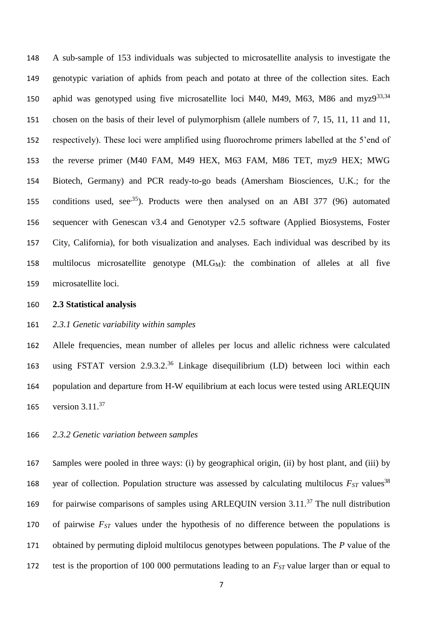A sub-sample of 153 individuals was subjected to microsatellite analysis to investigate the genotypic variation of aphids from peach and potato at three of the collection sites. Each 150 aphid was genotyped using five microsatellite loci M40, M49, M63, M86 and myz $9^{33,34}$  chosen on the basis of their level of pulymorphism (allele numbers of 7, 15, 11, 11 and 11, respectively). These loci were amplified using fluorochrome primers labelled at the 5'end of the reverse primer (M40 FAM, M49 HEX, M63 FAM, M86 TET, myz9 HEX; MWG Biotech, Germany) and PCR ready-to-go beads (Amersham Biosciences, U.K.; for the 155 conditions used, see<sup>35</sup>). Products were then analysed on an ABI 377 (96) automated sequencer with Genescan v3.4 and Genotyper v2.5 software (Applied Biosystems, Foster City, California), for both visualization and analyses. Each individual was described by its 158 multilocus microsatellite genotype  $(MLG_M)$ : the combination of alleles at all five microsatellite loci.

#### **2.3 Statistical analysis**

#### *2.3.1 Genetic variability within samples*

 Allele frequencies, mean number of alleles per locus and allelic richness were calculated 163 using FSTAT version 2.9.3.2.<sup>36</sup> Linkage disequilibrium (LD) between loci within each population and departure from H-W equilibrium at each locus were tested using ARLEQUIN 165 version  $3.11^{37}$ 

#### *2.3.2 Genetic variation between samples*

 Samples were pooled in three ways: (i) by geographical origin, (ii) by host plant, and (iii) by 168 vear of collection. Population structure was assessed by calculating multilocus  $F_{ST}$  values<sup>38</sup> for pairwise comparisons of samples using ARLEQUIN version  $3.11^{37}$  The null distribution of pairwise *FST* values under the hypothesis of no difference between the populations is obtained by permuting diploid multilocus genotypes between populations. The *P* value of the test is the proportion of 100 000 permutations leading to an *FST* value larger than or equal to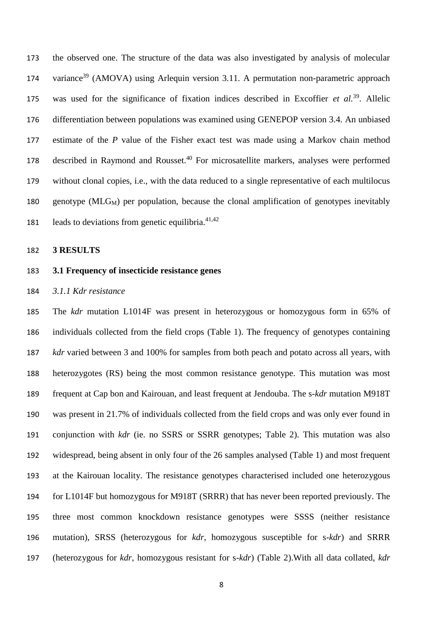the observed one. The structure of the data was also investigated by analysis of molecular 174 variance<sup>39</sup> (AMOVA) using Arlequin version 3.11. A permutation non-parametric approach 175 was used for the significance of fixation indices described in Excoffier *et al.*<sup>39</sup>. Allelic differentiation between populations was examined using GENEPOP version 3.4. An unbiased estimate of the *P* value of the Fisher exact test was made using a Markov chain method 178 described in Raymond and Rousset.<sup>40</sup> For microsatellite markers, analyses were performed without clonal copies, i.e., with the data reduced to a single representative of each multilocus genotype (MLGM) per population, because the clonal amplification of genotypes inevitably 181 leads to deviations from genetic equilibria.<sup>41,42</sup>

**3 RESULTS**

#### **3.1 Frequency of insecticide resistance genes**

#### *3.1.1 Kdr resistance*

 The *kdr* mutation L1014F was present in heterozygous or homozygous form in 65% of individuals collected from the field crops (Table 1). The frequency of genotypes containing *kdr* varied between 3 and 100% for samples from both peach and potato across all years, with heterozygotes (RS) being the most common resistance genotype. This mutation was most frequent at Cap bon and Kairouan, and least frequent at Jendouba. The s*-kdr* mutation M918T was present in 21.7% of individuals collected from the field crops and was only ever found in conjunction with *kdr* (ie. no SSRS or SSRR genotypes; Table 2). This mutation was also widespread, being absent in only four of the 26 samples analysed (Table 1) and most frequent at the Kairouan locality. The resistance genotypes characterised included one heterozygous for L1014F but homozygous for M918T (SRRR) that has never been reported previously. The three most common knockdown resistance genotypes were SSSS (neither resistance mutation), SRSS (heterozygous for *kdr*, homozygous susceptible for s-*kdr*) and SRRR (heterozygous for *kdr*, homozygous resistant for s-*kdr*) (Table 2).With all data collated, *kdr*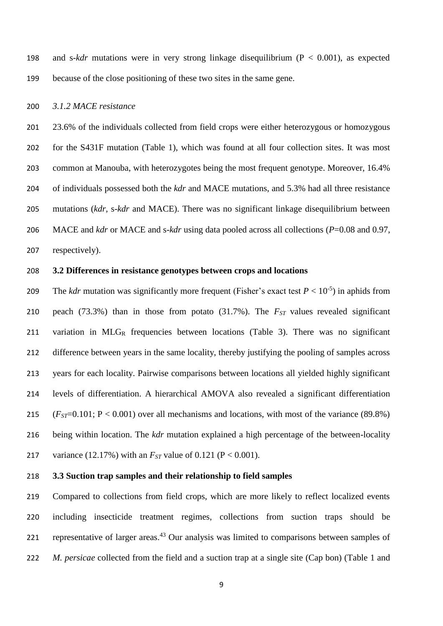and s-*kdr* mutations were in very strong linkage disequilibrium (P < 0.001), as expected because of the close positioning of these two sites in the same gene.

#### *3.1.2 MACE resistance*

 23.6% of the individuals collected from field crops were either heterozygous or homozygous for the S431F mutation (Table 1), which was found at all four collection sites. It was most common at Manouba, with heterozygotes being the most frequent genotype. Moreover, 16.4% of individuals possessed both the *kdr* and MACE mutations, and 5.3% had all three resistance mutations (*kdr,* s*-kdr* and MACE). There was no significant linkage disequilibrium between MACE and *kdr* or MACE and s*-kdr* using data pooled across all collections (*P*=0.08 and 0.97, respectively).

#### **3.2 Differences in resistance genotypes between crops and locations**

209 The *kdr* mutation was significantly more frequent (Fisher's exact test  $P < 10^{-5}$ ) in aphids from peach (73.3%) than in those from potato (31.7%). The *FST* values revealed significant variation in MLG<sup>R</sup> frequencies between locations (Table 3). There was no significant difference between years in the same locality, thereby justifying the pooling of samples across years for each locality. Pairwise comparisons between locations all yielded highly significant levels of differentiation. A hierarchical AMOVA also revealed a significant differentiation  $(F_{ST}=0.101; P<0.001)$  over all mechanisms and locations, with most of the variance (89.8%) being within location. The *kdr* mutation explained a high percentage of the between-locality variance (12.17%) with an *FST* value of 0.121 (P < 0.001).

#### **3.3 Suction trap samples and their relationship to field samples**

 Compared to collections from field crops, which are more likely to reflect localized events including insecticide treatment regimes, collections from suction traps should be 221 representative of larger areas.<sup>43</sup> Our analysis was limited to comparisons between samples of *M. persicae* collected from the field and a suction trap at a single site (Cap bon) (Table 1 and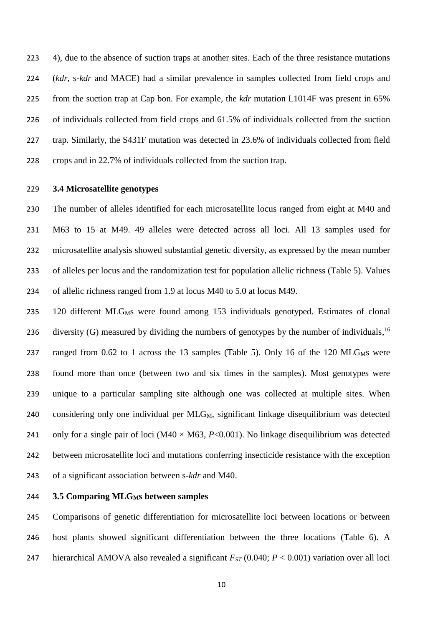223 4), due to the absence of suction traps at another sites. Each of the three resistance mutations (*kdr*, s-*kdr* and MACE) had a similar prevalence in samples collected from field crops and from the suction trap at Cap bon. For example, the *kdr* mutation L1014F was present in 65% of individuals collected from field crops and 61.5% of individuals collected from the suction trap. Similarly, the S431F mutation was detected in 23.6% of individuals collected from field crops and in 22.7% of individuals collected from the suction trap.

#### **3.4 Microsatellite genotypes**

 The number of alleles identified for each microsatellite locus ranged from eight at M40 and M63 to 15 at M49. 49 alleles were detected across all loci. All 13 samples used for microsatellite analysis showed substantial genetic diversity, as expressed by the mean number of alleles per locus and the randomization test for population allelic richness (Table 5). Values of allelic richness ranged from 1.9 at locus M40 to 5.0 at locus M49.

 120 different MLGMs were found among 153 individuals genotyped. Estimates of clonal 236 diversity (G) measured by dividing the numbers of genotypes by the number of individuals, 237 ranged from 0.62 to 1 across the 13 samples (Table 5). Only 16 of the 120 MLG<sub>MS</sub> were found more than once (between two and six times in the samples). Most genotypes were unique to a particular sampling site although one was collected at multiple sites. When 240 considering only one individual per  $MLG_M$ , significant linkage disequilibrium was detected 241 only for a single pair of loci ( $M40 \times M63$ , *P*<0.001). No linkage disequilibrium was detected between microsatellite loci and mutations conferring insecticide resistance with the exception of a significant association between s-*kdr* and M40.

#### **3.5 Comparing MLGMs between samples**

 Comparisons of genetic differentiation for microsatellite loci between locations or between host plants showed significant differentiation between the three locations (Table 6). A 247 hierarchical AMOVA also revealed a significant  $F_{ST}$  (0.040;  $P < 0.001$ ) variation over all loci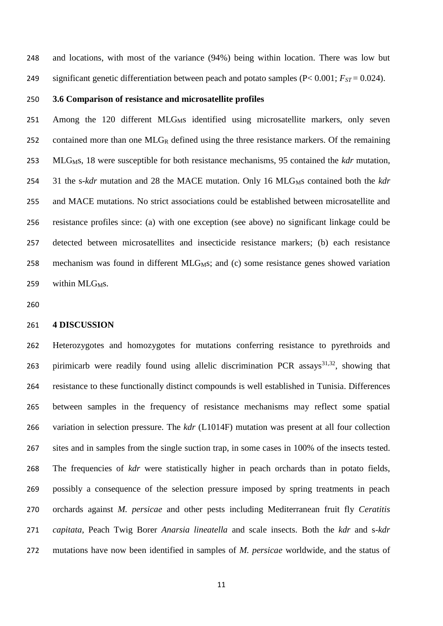and locations, with most of the variance (94%) being within location. There was low but significant genetic differentiation between peach and potato samples (P< 0.001; *FST* = 0.024).

#### **3.6 Comparison of resistance and microsatellite profiles**

 Among the 120 different MLG<sub>MS</sub> identified using microsatellite markers, only seven 252 contained more than one  $MLG_R$  defined using the three resistance markers. Of the remaining 253 MLG<sub>MS</sub>, 18 were susceptible for both resistance mechanisms, 95 contained the *kdr* mutation, 254 31 the s-*kdr* mutation and 28 the MACE mutation. Only 16 MLG<sub>MS</sub> contained both the *kdr*  and MACE mutations. No strict associations could be established between microsatellite and resistance profiles since: (a) with one exception (see above) no significant linkage could be detected between microsatellites and insecticide resistance markers; (b) each resistance 258 mechanism was found in different  $MLG<sub>M</sub>s$ ; and (c) some resistance genes showed variation within MLG<sub>MS</sub>.

#### **4 DISCUSSION**

 Heterozygotes and homozygotes for mutations conferring resistance to pyrethroids and 263 pirimicarb were readily found using allelic discrimination PCR assays  $31,32$ , showing that resistance to these functionally distinct compounds is well established in Tunisia. Differences between samples in the frequency of resistance mechanisms may reflect some spatial variation in selection pressure. The *kdr* (L1014F) mutation was present at all four collection sites and in samples from the single suction trap, in some cases in 100% of the insects tested. The frequencies of *kdr* were statistically higher in peach orchards than in potato fields, possibly a consequence of the selection pressure imposed by spring treatments in peach orchards against *M. persicae* and other pests including Mediterranean fruit fly *Ceratitis capitata*, Peach Twig Borer *Anarsia lineatella* and scale insects. Both the *kdr* and s*-kdr* mutations have now been identified in samples of *M. persicae* worldwide, and the status of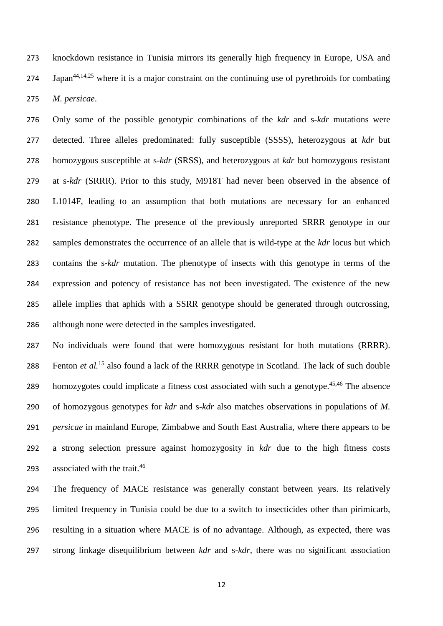knockdown resistance in Tunisia mirrors its generally high frequency in Europe, USA and Japan<sup>44,14,25</sup> where it is a major constraint on the continuing use of pyrethroids for combating *M. persicae*.

 Only some of the possible genotypic combinations of the *kdr* and s-*kdr* mutations were detected. Three alleles predominated: fully susceptible (SSSS), heterozygous at *kdr* but homozygous susceptible at s*-kdr* (SRSS), and heterozygous at *kdr* but homozygous resistant at s*-kdr* (SRRR). Prior to this study, M918T had never been observed in the absence of L1014F, leading to an assumption that both mutations are necessary for an enhanced resistance phenotype. The presence of the previously unreported SRRR genotype in our samples demonstrates the occurrence of an allele that is wild-type at the *kdr* locus but which contains the s*-kdr* mutation. The phenotype of insects with this genotype in terms of the expression and potency of resistance has not been investigated. The existence of the new allele implies that aphids with a SSRR genotype should be generated through outcrossing, although none were detected in the samples investigated.

 No individuals were found that were homozygous resistant for both mutations (RRRR). 288 Fenton *et al.*<sup>15</sup> also found a lack of the RRRR genotype in Scotland. The lack of such double 289 homozygotes could implicate a fitness cost associated with such a genotype.<sup>45,46</sup> The absence of homozygous genotypes for *kdr* and s-*kdr* also matches observations in populations of *M. persicae* in mainland Europe, Zimbabwe and South East Australia, where there appears to be a strong selection pressure against homozygosity in *kdr* due to the high fitness costs 293 associated with the trait.<sup>46</sup>

 The frequency of MACE resistance was generally constant between years. Its relatively limited frequency in Tunisia could be due to a switch to insecticides other than pirimicarb, resulting in a situation where MACE is of no advantage. Although, as expected, there was strong linkage disequilibrium between *kdr* and s-*kdr*, there was no significant association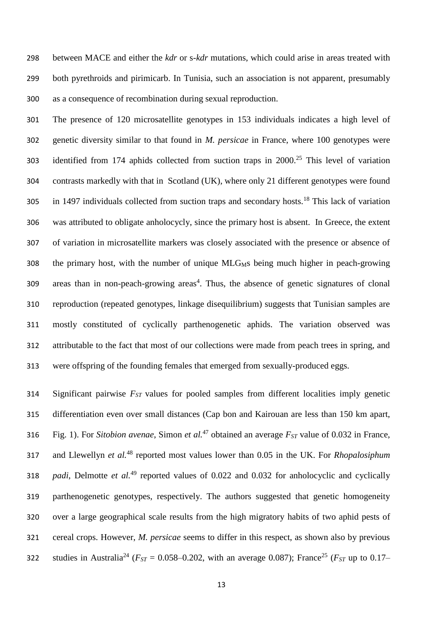between MACE and either the *kdr* or s-*kdr* mutations, which could arise in areas treated with both pyrethroids and pirimicarb. In Tunisia, such an association is not apparent, presumably as a consequence of recombination during sexual reproduction.

 The presence of 120 microsatellite genotypes in 153 individuals indicates a high level of genetic diversity similar to that found in *M. persicae* in France, where 100 genotypes were 303 identified from 174 aphids collected from suction traps in 2000.<sup>25</sup> This level of variation contrasts markedly with that in Scotland (UK), where only 21 different genotypes were found in 1497 individuals collected from suction traps and secondary hosts.<sup>18</sup> This lack of variation was attributed to obligate anholocycly, since the primary host is absent. In Greece, the extent of variation in microsatellite markers was closely associated with the presence or absence of 308 the primary host, with the number of unique  $MLG<sub>M</sub>$ s being much higher in peach-growing 309 areas than in non-peach-growing areas<sup>4</sup>. Thus, the absence of genetic signatures of clonal reproduction (repeated genotypes, linkage disequilibrium) suggests that Tunisian samples are mostly constituted of cyclically parthenogenetic aphids. The variation observed was attributable to the fact that most of our collections were made from peach trees in spring, and were offspring of the founding females that emerged from sexually-produced eggs.

 Significant pairwise *FST* values for pooled samples from different localities imply genetic differentiation even over small distances (Cap bon and Kairouan are less than 150 km apart, Fig. 1). For *Sitobion avenae*, Simon *et al.*<sup>47</sup> obtained an average  $F_{ST}$  value of 0.032 in France, 317 and Llewellyn *et al.*<sup>48</sup> reported most values lower than 0.05 in the UK. For *Rhopalosiphum padi*, Delmotte *et al.*<sup>49</sup> reported values of 0.022 and 0.032 for anholocyclic and cyclically parthenogenetic genotypes, respectively. The authors suggested that genetic homogeneity over a large geographical scale results from the high migratory habits of two aphid pests of cereal crops. However, *M. persicae* seems to differ in this respect, as shown also by previous studies in Australia<sup>24</sup> ( $F_{ST} = 0.058 - 0.202$ , with an average 0.087); France<sup>25</sup> ( $F_{ST}$  up to 0.17–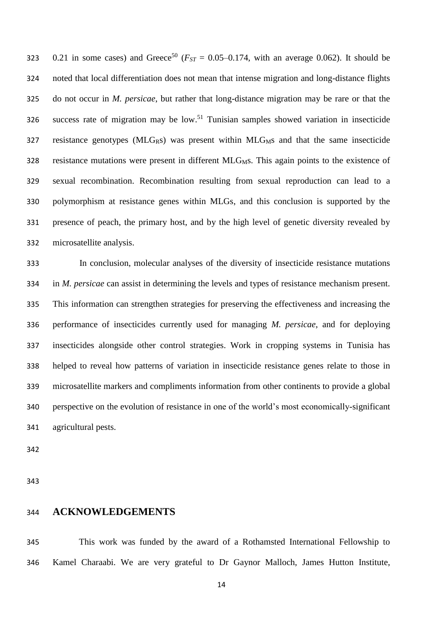323 0.21 in some cases) and Greece<sup>50</sup> ( $F_{ST} = 0.05{\text -}0.174$ , with an average 0.062). It should be noted that local differentiation does not mean that intense migration and long-distance flights do not occur in *M. persicae*, but rather that long-distance migration may be rare or that the 326 success rate of migration may be  $low.^{51}$  Tunisian samples showed variation in insecticide resistance genotypes (MLG<sub>RS</sub>) was present within MLG<sub>MS</sub> and that the same insecticide 328 resistance mutations were present in different MLG<sub>MS</sub>. This again points to the existence of sexual recombination. Recombination resulting from sexual reproduction can lead to a polymorphism at resistance genes within MLGs, and this conclusion is supported by the presence of peach, the primary host, and by the high level of genetic diversity revealed by microsatellite analysis.

 In conclusion, molecular analyses of the diversity of insecticide resistance mutations in *M. persicae* can assist in determining the levels and types of resistance mechanism present. This information can strengthen strategies for preserving the effectiveness and increasing the performance of insecticides currently used for managing *M. persicae*, and for deploying insecticides alongside other control strategies. Work in cropping systems in Tunisia has helped to reveal how patterns of variation in insecticide resistance genes relate to those in microsatellite markers and compliments information from other continents to provide a global perspective on the evolution of resistance in one of the world's most economically-significant agricultural pests.

#### **ACKNOWLEDGEMENTS**

 This work was funded by the award of a Rothamsted International Fellowship to Kamel Charaabi. We are very grateful to Dr Gaynor Malloch, James Hutton Institute,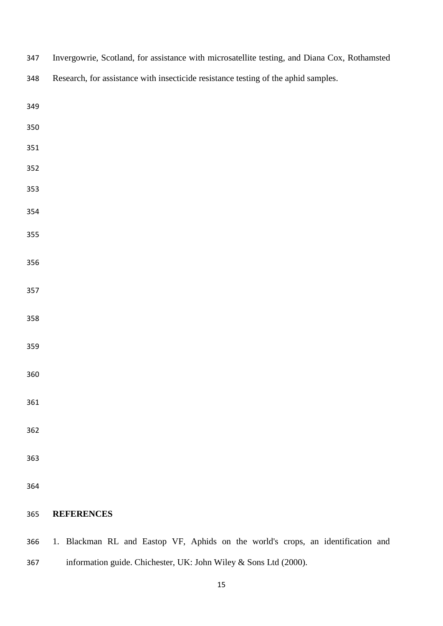| 348 | Research, for assistance with insecticide resistance testing of the aphid samples. |
|-----|------------------------------------------------------------------------------------|
| 349 |                                                                                    |
| 350 |                                                                                    |
| 351 |                                                                                    |
| 352 |                                                                                    |
| 353 |                                                                                    |
| 354 |                                                                                    |
| 355 |                                                                                    |
| 356 |                                                                                    |
| 357 |                                                                                    |
|     |                                                                                    |
| 358 |                                                                                    |
| 359 |                                                                                    |
| 360 |                                                                                    |
| 361 |                                                                                    |
| 362 |                                                                                    |
|     |                                                                                    |
| 363 |                                                                                    |
| 364 |                                                                                    |
| 365 | <b>REFERENCES</b>                                                                  |
| 366 | 1. Blackman RL and Eastop VF, Aphids on the world's crops, an identification and   |

Invergowrie, Scotland, for assistance with microsatellite testing, and Diana Cox, Rothamsted

information guide. Chichester, UK: John Wiley & Sons Ltd (2000).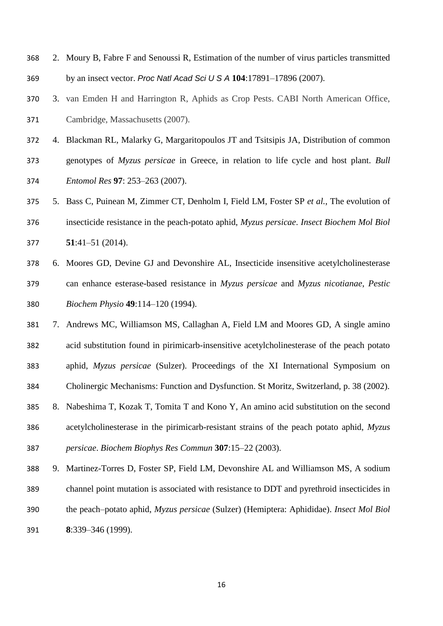| 368 | 2. Moury B, Fabre F and Senoussi R, Estimation of the number of virus particles transmitted |
|-----|---------------------------------------------------------------------------------------------|
| 369 | by an insect vector. Proc Natl Acad Sci U S A 104:17891-17896 (2007).                       |
| 370 | 3. van Emden H and Harrington R, Aphids as Crop Pests. CABI North American Office,          |
| 371 | Cambridge, Massachusetts (2007).                                                            |
| 372 | 4. Blackman RL, Malarky G, Margaritopoulos JT and Tsitsipis JA, Distribution of common      |
| 373 | genotypes of Myzus persicae in Greece, in relation to life cycle and host plant. Bull       |
| 374 | Entomol Res 97: 253-263 (2007).                                                             |
| 375 | 5. Bass C, Puinean M, Zimmer CT, Denholm I, Field LM, Foster SP et al., The evolution of    |
| 376 | insecticide resistance in the peach-potato aphid, Myzus persicae. Insect Biochem Mol Biol   |
| 377 | $51:41-51$ (2014).                                                                          |
| 378 | 6. Moores GD, Devine GJ and Devonshire AL, Insecticide insensitive acetylcholinesterase     |
| 379 | can enhance esterase-based resistance in Myzus persicae and Myzus nicotianae, Pestic        |
| 380 | Biochem Physio 49:114-120 (1994).                                                           |
| 381 | 7. Andrews MC, Williamson MS, Callaghan A, Field LM and Moores GD, A single amino           |
| 382 | acid substitution found in pirimicarb-insensitive acetylcholinesterase of the peach potato  |
| 383 | aphid, Myzus persicae (Sulzer). Proceedings of the XI International Symposium on            |
| 384 | Cholinergic Mechanisms: Function and Dysfunction. St Moritz, Switzerland, p. 38 (2002).     |
| 385 | 8. Nabeshima T, Kozak T, Tomita T and Kono Y, An amino acid substitution on the second      |
| 386 | acetylcholinesterase in the pirimicarb-resistant strains of the peach potato aphid, Myzus   |
| 387 | persicae. Biochem Biophys Res Commun 307:15-22 (2003).                                      |
| 388 | 9. Martinez-Torres D, Foster SP, Field LM, Devonshire AL and Williamson MS, A sodium        |
| 389 | channel point mutation is associated with resistance to DDT and pyrethroid insecticides in  |
| 390 | the peach-potato aphid, Myzus persicae (Sulzer) (Hemiptera: Aphididae). Insect Mol Biol     |
| 391 | 8:339-346 (1999).                                                                           |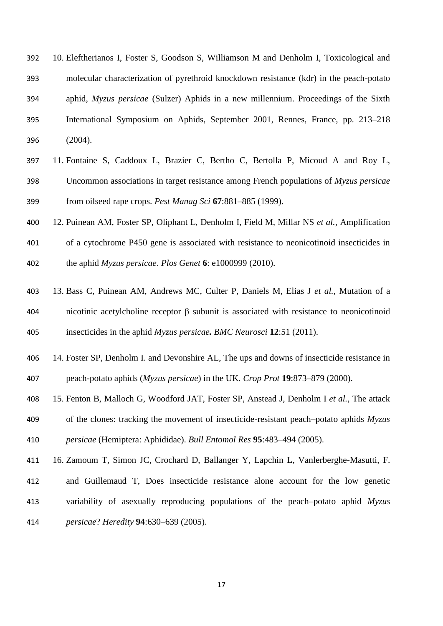10. Eleftherianos I, Foster S, Goodson S, Williamson M and Denholm I, Toxicological and molecular characterization of pyrethroid knockdown resistance (kdr) in the peach-potato aphid, *Myzus persicae* (Sulzer) Aphids in a new millennium. Proceedings of the Sixth International Symposium on Aphids, September 2001, Rennes, France, pp. 213–218 (2004).

- 11. Fontaine S, Caddoux L, Brazier C, Bertho C, Bertolla P, Micoud A and Roy L, Uncommon associations in target resistance among French populations of *Myzus persicae*  from oilseed rape crops. *Pest Manag Sci* **67**:881–885 (1999).
- 12. Puinean AM, Foster SP, Oliphant L, Denholm I, Field M, Millar NS *et al.*, Amplification of a cytochrome P450 gene is associated with resistance to neonicotinoid insecticides in the aphid *Myzus persicae*. *Plos Genet* **6**: e1000999 (2010).
- 13. Bass C, Puinean AM, Andrews MC, Culter P, Daniels M, Elias J *et al.*, Mutation of a nicotinic acetylcholine receptor β subunit is associated with resistance to neonicotinoid insecticides in the aphid *Myzus persicae. BMC Neurosci* **12**:51 (2011).
- 14. Foster SP, Denholm I. and Devonshire AL, The ups and downs of insecticide resistance in peach-potato aphids (*Myzus persicae*) in the UK. *Crop Prot* **19**:873–879 (2000).
- 15. Fenton B, Malloch G, Woodford JAT, Foster SP, Anstead J, Denholm I *et al.*, The attack of the clones: tracking the movement of insecticide-resistant peach–potato aphids *Myzus persicae* (Hemiptera: Aphididae). *Bull Entomol Res* **95**:483–494 (2005).
- 16. Zamoum T, Simon JC, Crochard D, Ballanger Y, Lapchin L, Vanlerberghe-Masutti, F. and Guillemaud T, Does insecticide resistance alone account for the low genetic variability of asexually reproducing populations of the peach–potato aphid *Myzus persicae*? *Heredity* **94**:630–639 (2005).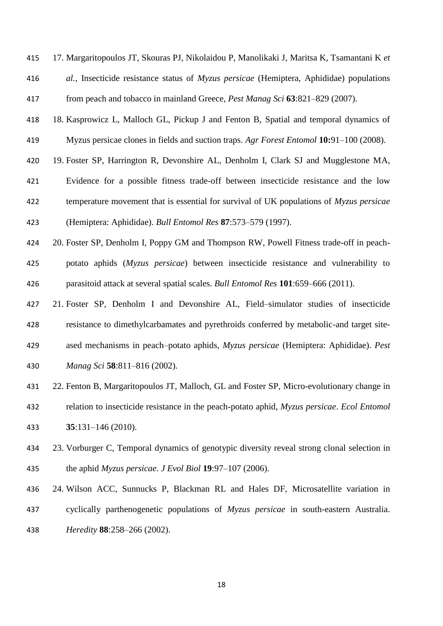- 17. Margaritopoulos JT, Skouras PJ, Nikolaidou P, Manolikaki J, Maritsa K, Tsamantani K *et al.*, Insecticide resistance status of *Myzus persicae* (Hemiptera, Aphididae) populations from peach and tobacco in mainland Greece, *Pest Manag Sci* **63**:821–829 (2007).
- 18. Kasprowicz L, Malloch GL, Pickup J and Fenton B, Spatial and temporal dynamics of Myzus persicae clones in fields and suction traps. *Agr Forest Entomol* **10:**91–100 (2008).
- 19. Foster SP, Harrington R, Devonshire AL, Denholm I, Clark SJ and Mugglestone MA, Evidence for a possible fitness trade-off between insecticide resistance and the low temperature movement that is essential for survival of UK populations of *Myzus persicae*
- (Hemiptera: Aphididae). *Bull Entomol Res* **87**:573–579 (1997).
- 20. Foster SP, Denholm I, Poppy GM and Thompson RW, Powell Fitness trade-off in peach- potato aphids (*Myzus persicae*) between insecticide resistance and vulnerability to parasitoid attack at several spatial scales. *Bull Entomol Res* **101**:659–666 (2011).
- 21. Foster SP, Denholm I and Devonshire AL, Field–simulator studies of insecticide resistance to dimethylcarbamates and pyrethroids conferred by metabolic-and target site- ased mechanisms in peach–potato aphids, *Myzus persicae* (Hemiptera: Aphididae). *Pest Manag Sci* **58**:811–816 (2002).
- 22. Fenton B, Margaritopoulos JT, Malloch, GL and Foster SP, Micro-evolutionary change in relation to insecticide resistance in the peach-potato aphid, *Myzus persicae*. *Ecol Entomol* **35**:131–146 (2010).
- 23. Vorburger C, Temporal dynamics of genotypic diversity reveal strong clonal selection in the aphid *Myzus persicae*. *J Evol Biol* **19**:97–107 (2006).
- 24. Wilson ACC, Sunnucks P, Blackman RL and Hales DF, Microsatellite variation in cyclically parthenogenetic populations of *Myzus persicae* in south-eastern Australia. *Heredity* **88**:258–266 (2002).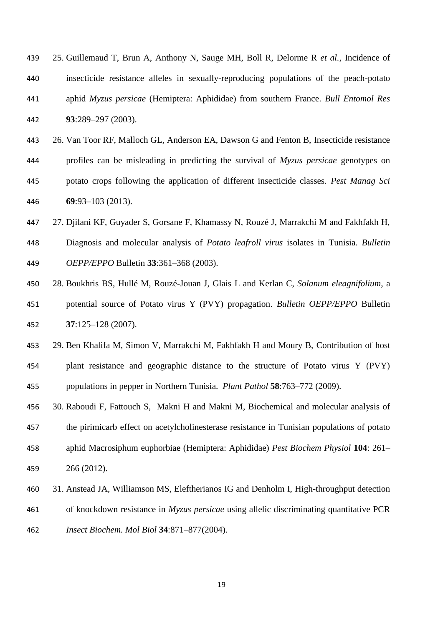| 439 | 25. Guillemaud T, Brun A, Anthony N, Sauge MH, Boll R, Delorme R et al., Incidence of  |
|-----|----------------------------------------------------------------------------------------|
| 440 | insecticide resistance alleles in sexually-reproducing populations of the peach-potato |
| 441 | aphid Myzus persicae (Hemiptera: Aphididae) from southern France. Bull Entomol Res     |
| 442 | $93:289 - 297(2003)$ .                                                                 |

- 26. Van Toor RF, Malloch GL, Anderson EA, Dawson G and Fenton B, Insecticide resistance profiles can be misleading in predicting the survival of *Myzus persicae* genotypes on potato crops following the application of different insecticide classes. *Pest Manag Sci* **69**:93–103 (2013).
- 27. Djilani KF, Guyader S, Gorsane F, Khamassy N, Rouzé J, Marrakchi M and Fakhfakh H, Diagnosis and molecular analysis of *Potato leafroll virus* isolates in Tunisia. *Bulletin OEPP/EPPO* Bulletin **33**:361–368 (2003).
- 28. Boukhris BS, Hullé M, Rouzé-Jouan J, Glais L and Kerlan C, *Solanum eleagnifolium*, a potential source of Potato virus Y (PVY) propagation. *Bulletin OEPP/EPPO* Bulletin **37**:125–128 (2007).
- 29. Ben Khalifa M, Simon V, Marrakchi M, Fakhfakh H and Moury B, Contribution of host plant resistance and geographic distance to the structure of Potato virus Y (PVY) populations in pepper in Northern Tunisia. *Plant Pathol* **58**:763–772 (2009).
- 30. Raboudi F, Fattouch S, Makni H and Makni M, Biochemical and molecular analysis of the pirimicarb effect on acetylcholinesterase resistance in Tunisian populations of potato aphid Macrosiphum euphorbiae (Hemiptera: Aphididae) *Pest Biochem Physiol* **104**: 261– 266 (2012).
- 31. Anstead JA, Williamson MS, Eleftherianos IG and Denholm I, High-throughput detection
- of knockdown resistance in *Myzus persicae* using allelic discriminating quantitative PCR
- *Insect Biochem. Mol Biol* **34**:871–877(2004).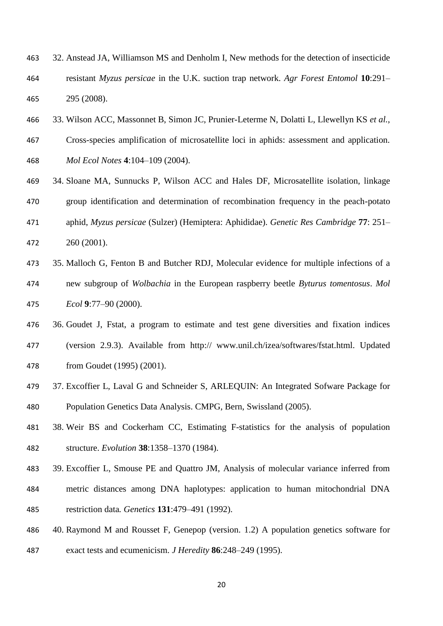- 32. Anstead JA, Williamson MS and Denholm I, New methods for the detection of insecticide resistant *Myzus persicae* in the U.K. suction trap network. *Agr Forest Entomol* **10**:291– 295 (2008).
- 33. Wilson ACC, Massonnet B, Simon JC, Prunier-Leterme N, Dolatti L, Llewellyn KS *et al.*,

 Cross-species amplification of microsatellite loci in aphids: assessment and application. *Mol Ecol Notes* **4**:104–109 (2004).

- 34. Sloane MA, Sunnucks P, Wilson ACC and Hales DF, Microsatellite isolation, linkage group identification and determination of recombination frequency in the peach-potato aphid, *Myzus persicae* (Sulzer) (Hemiptera: Aphididae). *Genetic Res Cambridge* **77**: 251– 260 (2001).
- 35. Malloch G, Fenton B and Butcher RDJ, Molecular evidence for multiple infections of a new subgroup of *Wolbachia* in the European raspberry beetle *Byturus tomentosus*. *Mol Ecol* **9**:77–90 (2000).
- 36. Goudet J, Fstat, a program to estimate and test gene diversities and fixation indices (version 2.9.3). Available from http:// www.unil.ch/izea/softwares/fstat.html. Updated from Goudet (1995) (2001).
- 37. Excoffier L, Laval G and Schneider S, ARLEQUIN: An Integrated Sofware Package for Population Genetics Data Analysis. CMPG, Bern, Swissland (2005).
- 38. Weir BS and Cockerham CC, Estimating F-statistics for the analysis of population structure. *Evolution* **38**:1358–1370 (1984).
- 39. Excoffier L, Smouse PE and Quattro JM, Analysis of molecular variance inferred from metric distances among DNA haplotypes: application to human mitochondrial DNA restriction data*. Genetics* **131**:479–491 (1992).
- 40. Raymond M and Rousset F, Genepop (version. 1.2) A population genetics software for exact tests and ecumenicism. *J Heredity* **86**:248–249 (1995).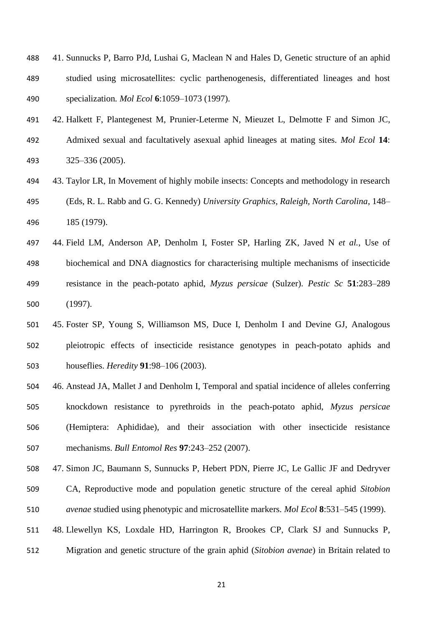- 41. Sunnucks P, Barro PJd, Lushai G, Maclean N and Hales D, Genetic structure of an aphid studied using microsatellites: cyclic parthenogenesis, differentiated lineages and host specialization*. Mol Ecol* **6**:1059–1073 (1997).
- 42. Halkett F, Plantegenest M, Prunier-Leterme N, Mieuzet L, Delmotte F and Simon JC, Admixed sexual and facultatively asexual aphid lineages at mating sites. *Mol Ecol* **14**: 325–336 (2005).
- 43. Taylor LR, In Movement of highly mobile insects: Concepts and methodology in research (Eds, R. L. Rabb and G. G. Kennedy) *University Graphics, Raleigh, North Carolina*, 148– 185 (1979).
- 44. Field LM, Anderson AP, Denholm I, Foster SP, Harling ZK, Javed N *et al.*, Use of biochemical and DNA diagnostics for characterising multiple mechanisms of insecticide resistance in the peach-potato aphid, *Myzus persicae* (Sulzer). *Pestic Sc* **51**:283–289 (1997).
- 45. Foster SP, Young S, Williamson MS, Duce I, Denholm I and Devine GJ, Analogous pleiotropic effects of insecticide resistance genotypes in peach-potato aphids and houseflies. *Heredity* **91**:98–106 (2003).
- 46. Anstead JA, Mallet J and Denholm I, Temporal and spatial incidence of alleles conferring knockdown resistance to pyrethroids in the peach-potato aphid, *Myzus persicae* (Hemiptera: Aphididae), and their association with other insecticide resistance mechanisms. *Bull Entomol Res* **97**:243–252 (2007).
- 47. Simon JC, Baumann S, Sunnucks P, Hebert PDN, Pierre JC, Le Gallic JF and Dedryver
- CA, Reproductive mode and population genetic structure of the cereal aphid *Sitobion avenae* studied using phenotypic and microsatellite markers. *Mol Ecol* **8**:531–545 (1999).
- 48. Llewellyn KS, Loxdale HD, Harrington R, Brookes CP, Clark SJ and Sunnucks P,
- Migration and genetic structure of the grain aphid (*Sitobion avenae*) in Britain related to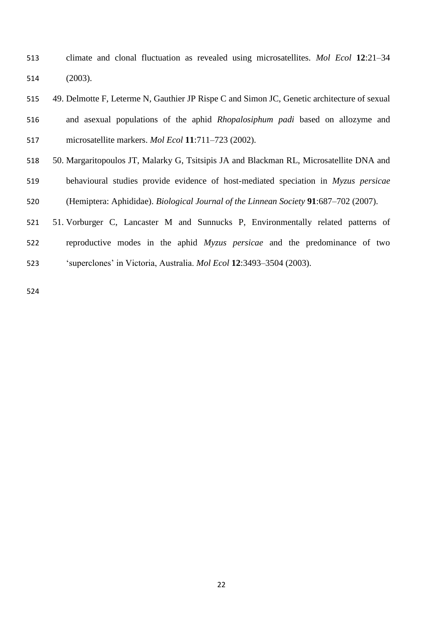climate and clonal fluctuation as revealed using microsatellites. *Mol Ecol* **12**:21–34 (2003).

## 49. Delmotte F, Leterme N, Gauthier JP Rispe C and Simon JC, Genetic architecture of sexual and asexual populations of the aphid *Rhopalosiphum padi* based on allozyme and microsatellite markers. *Mol Ecol* **11**:711–723 (2002).

- 50. Margaritopoulos JT, Malarky G, Tsitsipis JA and Blackman RL, Microsatellite DNA and behavioural studies provide evidence of host-mediated speciation in *Myzus persicae* (Hemiptera: Aphididae). *Biological Journal of the Linnean Society* **91**:687–702 (2007).
- 51. Vorburger C, Lancaster M and Sunnucks P, Environmentally related patterns of reproductive modes in the aphid *Myzus persicae* and the predominance of two 'superclones' in Victoria, Australia. *Mol Ecol* **12**:3493–3504 (2003).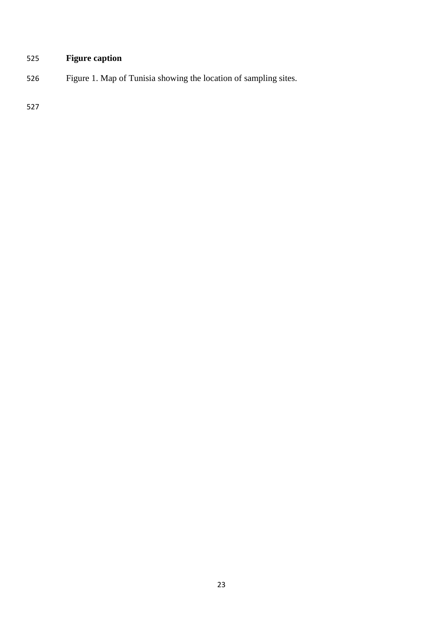### **Figure caption**

Figure 1. Map of Tunisia showing the location of sampling sites.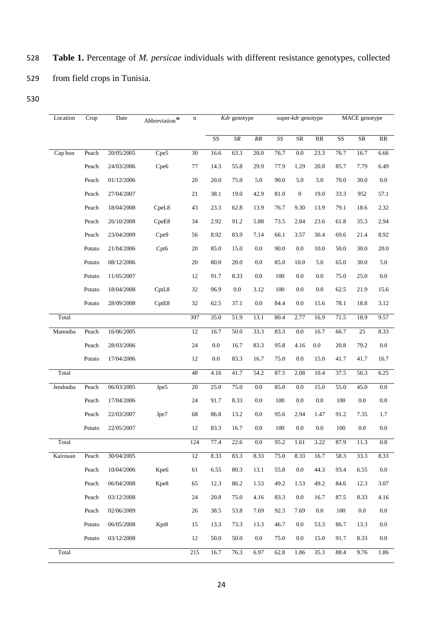## 528 **Table 1.** Percentage of *M. persicae* individuals with different resistance genotypes, collected 529 from field crops in Tunisia.

| Location | Crop   | Date       | $\!$ Abbreviation $\!$ | $\mathbf n$ |                        | Kdr genotype |           |      | super-kdr genotype |                                   |      | MACE genotype          |         |
|----------|--------|------------|------------------------|-------------|------------------------|--------------|-----------|------|--------------------|-----------------------------------|------|------------------------|---------|
|          |        |            |                        |             | $\overline{\text{SS}}$ | ${\cal SR}$  | $\cal RR$ | SS   | ${\rm SR}$         | $\ensuremath{\mathsf{RR}}\xspace$ | SS   | $\overline{\text{SR}}$ | RR      |
| Cap bon  | Peach  | 20/05/2005 | Cpe5                   | 30          | 16.6                   | 63.3         | 20.0      | 76.7 | 0.0                | 23.3                              | 76.7 | 16.7                   | 6.66    |
|          | Peach  | 24/03/2006 | Cpe6                   | 77          | 14.3                   | 55.8         | 29.9      | 77.9 | 1.29               | 20.8                              | 85.7 | 7.79                   | 6.49    |
|          | Peach  | 01/12/2006 |                        | 20          | 20.0                   | 75.0         | 5.0       | 90.0 | 5.0                | 5.0                               | 70.0 | 30.0                   | 0.0     |
|          | Peach  | 27/04/2007 |                        | 21          | 38.1                   | 19.0         | 42.9      | 81.0 | $\boldsymbol{0}$   | 19.0                              | 33.3 | 952                    | 57.1    |
|          | Peach  | 18/04/2008 | CpeL8                  | 43          | 23.3                   | 62.8         | 13.9      | 76.7 | 9.30               | 13.9                              | 79.1 | 18.6                   | 2.32    |
|          | Peach  | 26/10/2008 | CpeE8                  | 34          | 2.92                   | 91.2         | 5.88      | 73.5 | 2.84               | 23.6                              | 61.8 | 35.3                   | 2.94    |
|          | Peach  | 23/04/2009 | Cpe9                   | 56          | 8.92                   | 83.9         | 7.14      | 66.1 | 3.57               | 30.4                              | 69.6 | 21.4                   | 8.92    |
|          | Potato | 21/04/2006 | Cpt6                   | $20\,$      | 85.0                   | 15.0         | $0.0\,$   | 90.0 | 0.0                | 10.0                              | 50.0 | 30.0                   | 20.0    |
|          | Potato | 08/12/2006 |                        | $20\,$      | 80.0                   | 20.0         | $0.0\,$   | 85.0 | 10.0               | 5.0                               | 65.0 | 30.0                   | 5.0     |
|          | Potato | 11/05/2007 |                        | 12          | 91.7                   | 8.33         | 0.0       | 100  | 0.0                | 0.0                               | 75.0 | 25.0                   | 0.0     |
|          | Potato | 18/04/2008 | CptL8                  | 32          | 96.9                   | $0.0\,$      | 3.12      | 100  | 0.0                | 0.0                               | 62.5 | 21.9                   | 15.6    |
|          | Potato | 28/09/2008 | CptE8                  | 32          | 62.5                   | 37.1         | 0.0       | 84.4 | 0.0                | 15.6                              | 78.1 | 18.8                   | 3.12    |
| Total    |        |            |                        | 397         | 35.0                   | 51.9         | 13.1      | 80.4 | 2.77               | 16.9                              | 71.5 | 18.9                   | 9.57    |
| Manouba  | Peach  | 16/06/2005 |                        | 12          | 16.7                   | 50.0         | 33.3      | 83.3 | $0.0\,$            | 16.7                              | 66.7 | 25                     | 8.33    |
|          | Peach  | 28/03/2006 |                        | 24          | 0.0                    | 16.7         | 83.3      | 95.8 | 4.16               | 0.0                               | 20.8 | 79.2                   | 0.0     |
|          | Potato | 17/04/2006 |                        | 12          | 0.0                    | 83.3         | 16.7      | 75.0 | 0.0                | 15.0                              | 41.7 | 41.7                   | 16.7    |
| Total    |        |            |                        | 48          | 4.16                   | 41.7         | 54.2      | 87.5 | 2.08               | 10.4                              | 37.5 | 56.3                   | 6.25    |
| Jendouba | Peach  | 06/03/2005 | Jpe5                   | 20          | 25.0                   | 75.0         | 0.0       | 85.0 | 0.0                | 15.0                              | 55.0 | 45.0                   | $0.0\,$ |
|          | Peach  | 17/04/2006 |                        | 24          | 91.7                   | 8.33         | $0.0\,$   | 100  | 0.0                | $0.0\,$                           | 100  | 0.0                    | 0.0     |
|          | Peach  | 22/03/2007 | Jpe7                   | 68          | 86.8                   | 13.2         | 0.0       | 95.6 | 2.94               | 1.47                              | 91.2 | 7.35                   | 1.7     |
|          | Potato | 22/05/2007 |                        | 12          | 83.3                   | 16.7         | 0.0       | 100  | 0.0                | 0.0                               | 100  | 0.0                    | 0.0     |
| Total    |        |            |                        | 124         | 77.4                   | 22.6         | $0.0\,$   | 95.2 | 1.61               | 3.22                              | 87.9 | 11.3                   | 0.8     |
| Kairouan | Peach  | 30/04/2005 |                        | 12          | 8.33                   | 83.3         | 8.33      | 75.0 | 8.33               | 16.7                              | 58.3 | 33.3                   | 8.33    |
|          | Peach  | 10/04/2006 | Kpe6                   | 61          | 6.55                   | 80.3         | 13.1      | 55.8 | 0.0                | 44.3                              | 93.4 | 6.55                   | 0.0     |
|          | Peach  | 06/04/2008 | Kpe8                   | 65          | 12.3                   | 86.2         | 1.53      | 49.2 | 1.53               | 49.2                              | 84.6 | 12.3                   | 3.07    |
|          | Peach  | 03/12/2008 |                        | 24          | 20.8                   | 75.0         | 4.16      | 83.3 | 0.0                | 16.7                              | 87.5 | 8.33                   | 4.16    |
|          | Peach  | 02/06/2009 |                        | 26          | 38.5                   | 53.8         | 7.69      | 92.3 | 7.69               | 0.0                               | 100  | $0.0\,$                | 0.0     |
|          | Potato | 06/05/2008 | Kpt8                   | 15          | 13.3                   | 73.3         | 13.3      | 46.7 | 0.0                | 53.3                              | 86.7 | 13.3                   | 0.0     |
|          | Potato | 03/12/2008 |                        | 12          | 50.0                   | 50.0         | 0.0       | 75.0 | 0.0                | 15.0                              | 91.7 | 8.33                   | $0.0\,$ |
| Total    |        |            |                        | 215         | 16.7                   | 76.3         | 6.97      | 62.8 | 1.86               | 35.3                              | 88.4 | 9.76                   | 1.86    |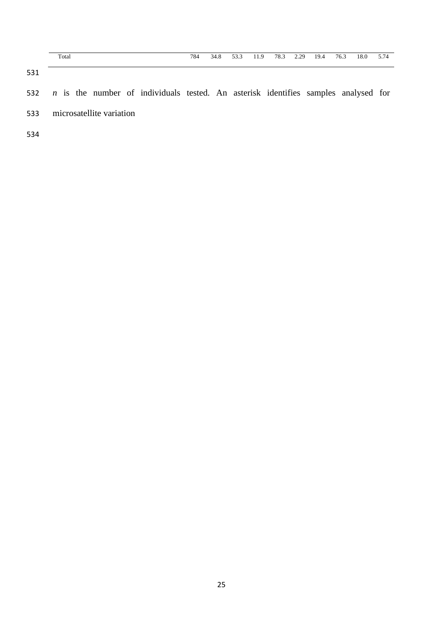|     | Total                                                                                         | 784 | 34.8 | 53.3<br>11.9 | 78.3 2.29 | 19.4 | 76.3<br>18.0 | 5.74 |
|-----|-----------------------------------------------------------------------------------------------|-----|------|--------------|-----------|------|--------------|------|
| 531 |                                                                                               |     |      |              |           |      |              |      |
|     | 532 <i>n</i> is the number of individuals tested. An asterisk identifies samples analysed for |     |      |              |           |      |              |      |
| 533 | microsatellite variation                                                                      |     |      |              |           |      |              |      |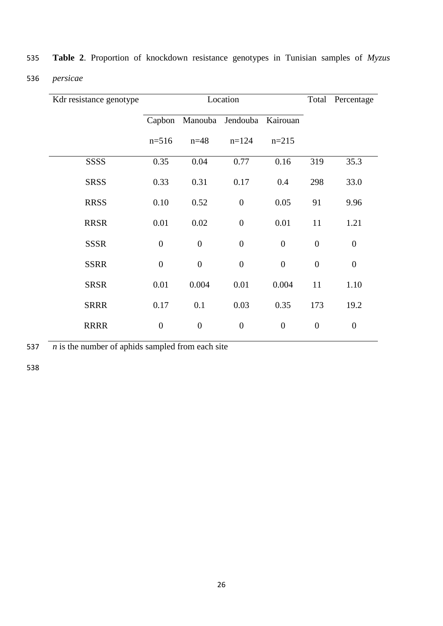| Kdr resistance genotype |                  | Location       | Total                     | Percentage       |                  |                  |
|-------------------------|------------------|----------------|---------------------------|------------------|------------------|------------------|
|                         | Capbon           |                | Manouba Jendouba Kairouan |                  |                  |                  |
|                         | $n=516$          | $n = 48$       | $n=124$                   | $n=215$          |                  |                  |
| <b>SSSS</b>             | 0.35             | 0.04           | 0.77                      | 0.16             | 319              | 35.3             |
| <b>SRSS</b>             | 0.33             | 0.31           | 0.17                      | 0.4              | 298              | 33.0             |
| <b>RRSS</b>             | 0.10             | 0.52           | $\boldsymbol{0}$          | 0.05             | 91               | 9.96             |
| <b>RRSR</b>             | 0.01             | 0.02           | $\boldsymbol{0}$          | 0.01             | 11               | 1.21             |
| <b>SSSR</b>             | $\boldsymbol{0}$ | $\overline{0}$ | $\boldsymbol{0}$          | $\boldsymbol{0}$ | $\boldsymbol{0}$ | $\overline{0}$   |
| <b>SSRR</b>             | $\boldsymbol{0}$ | $\overline{0}$ | $\boldsymbol{0}$          | $\boldsymbol{0}$ | $\boldsymbol{0}$ | $\boldsymbol{0}$ |
| <b>SRSR</b>             | 0.01             | 0.004          | 0.01                      | 0.004            | 11               | 1.10             |
| <b>SRRR</b>             | 0.17             | 0.1            | 0.03                      | 0.35             | 173              | 19.2             |
| <b>RRRR</b>             | $\boldsymbol{0}$ | $\overline{0}$ | $\boldsymbol{0}$          | $\boldsymbol{0}$ | $\boldsymbol{0}$ | $\boldsymbol{0}$ |

535 **Table 2**. Proportion of knockdown resistance genotypes in Tunisian samples of *Myzus*  536 *persicae*

537  $\overline{n}$  is the number of aphids sampled from each site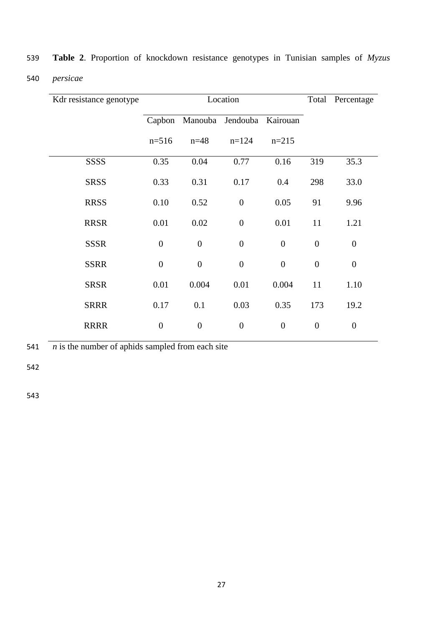| Kdr resistance genotype |                  | Location       | Total                     | Percentage       |                  |                  |
|-------------------------|------------------|----------------|---------------------------|------------------|------------------|------------------|
|                         | Capbon           |                | Manouba Jendouba Kairouan |                  |                  |                  |
|                         | $n=516$          | $n = 48$       | $n=124$                   | $n=215$          |                  |                  |
| <b>SSSS</b>             | 0.35             | 0.04           | 0.77                      | 0.16             | 319              | 35.3             |
| <b>SRSS</b>             | 0.33             | 0.31           | 0.17                      | 0.4              | 298              | 33.0             |
| <b>RRSS</b>             | 0.10             | 0.52           | $\boldsymbol{0}$          | 0.05             | 91               | 9.96             |
| <b>RRSR</b>             | 0.01             | 0.02           | $\boldsymbol{0}$          | 0.01             | 11               | 1.21             |
| <b>SSSR</b>             | $\boldsymbol{0}$ | $\overline{0}$ | $\boldsymbol{0}$          | $\boldsymbol{0}$ | $\boldsymbol{0}$ | $\overline{0}$   |
| <b>SSRR</b>             | $\boldsymbol{0}$ | $\overline{0}$ | $\boldsymbol{0}$          | $\boldsymbol{0}$ | $\boldsymbol{0}$ | $\boldsymbol{0}$ |
| <b>SRSR</b>             | 0.01             | 0.004          | 0.01                      | 0.004            | 11               | 1.10             |
| <b>SRRR</b>             | 0.17             | 0.1            | 0.03                      | 0.35             | 173              | 19.2             |
| <b>RRRR</b>             | $\boldsymbol{0}$ | $\overline{0}$ | $\boldsymbol{0}$          | $\boldsymbol{0}$ | $\boldsymbol{0}$ | $\boldsymbol{0}$ |

539 **Table 2**. Proportion of knockdown resistance genotypes in Tunisian samples of *Myzus*  540 *persicae*

541  $\overline{n}$  is the number of aphids sampled from each site

542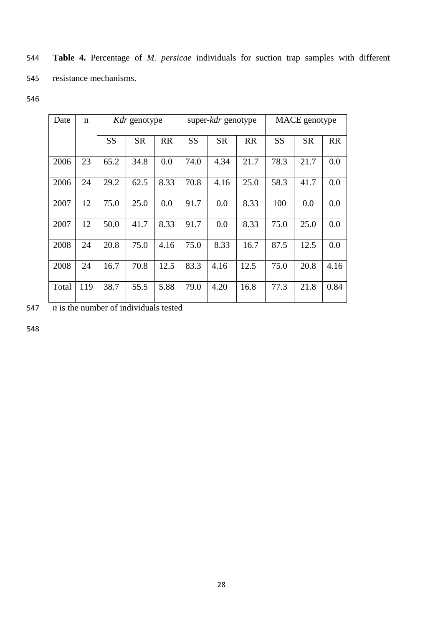| Date  | n   |           | Kdr genotype |           |      | super-kdr genotype |           | MACE genotype |           |           |  |
|-------|-----|-----------|--------------|-----------|------|--------------------|-----------|---------------|-----------|-----------|--|
|       |     | <b>SS</b> | <b>SR</b>    | <b>RR</b> | SS   | <b>SR</b>          | <b>RR</b> | <b>SS</b>     | <b>SR</b> | <b>RR</b> |  |
| 2006  | 23  | 65.2      | 34.8         | 0.0       | 74.0 | 4.34               | 21.7      | 78.3          | 21.7      | 0.0       |  |
| 2006  | 24  | 29.2      | 62.5         | 8.33      | 70.8 | 4.16               | 25.0      | 58.3          | 41.7      | 0.0       |  |
| 2007  | 12  | 75.0      | 25.0         | 0.0       | 91.7 | 0.0                | 8.33      | 100           | 0.0       | 0.0       |  |
| 2007  | 12  | 50.0      | 41.7         | 8.33      | 91.7 | 0.0                | 8.33      | 75.0          | 25.0      | 0.0       |  |
| 2008  | 24  | 20.8      | 75.0         | 4.16      | 75.0 | 8.33               | 16.7      | 87.5          | 12.5      | 0.0       |  |
| 2008  | 24  | 16.7      | 70.8         | 12.5      | 83.3 | 4.16               | 12.5      | 75.0          | 20.8      | 4.16      |  |
| Total | 119 | 38.7      | 55.5         | 5.88      | 79.0 | 4.20               | 16.8      | 77.3          | 21.8      | 0.84      |  |

 **Table 4.** Percentage of *M. persicae* individuals for suction trap samples with different resistance mechanisms.

547  $\overline{n}$  is the number of individuals tested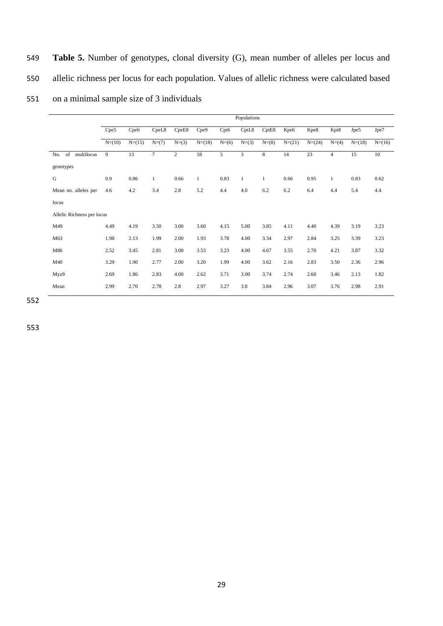549 **Table 5.** Number of genotypes, clonal diversity (G), mean number of alleles per locus and 550 allelic richness per locus for each population. Values of allelic richness were calculated based 551 on a minimal sample size of 3 individuals

|                            |          | Populations |                |                |              |         |              |         |          |          |                |          |          |
|----------------------------|----------|-------------|----------------|----------------|--------------|---------|--------------|---------|----------|----------|----------------|----------|----------|
|                            | Cpe5     | Cpe6        | CpeL8          | CpeE8          | Cpe9         | Cpt6    | CptL8        | CptE8   | Kpe6     | Kpe8     | Kpt8           | Jpe5     | Jpe7     |
|                            | $N=(10)$ | $N=(15)$    | $N=(7)$        | $N=(3)$        | $N=(18)$     | $N=(6)$ | $N=(3)$      | $N=(8)$ | $N=(21)$ | $N=(24)$ | $N=(4)$        | $N=(18)$ | $N=(16)$ |
| multilocus<br>of<br>No.    | 9        | 13          | $\overline{7}$ | $\overline{c}$ | 18           | 5       | 3            | 8       | 14       | 23       | $\overline{4}$ | 15       | 10       |
| genotypes                  |          |             |                |                |              |         |              |         |          |          |                |          |          |
| G                          | 0.9      | 0.86        | $\mathbf{1}$   | 0.66           | $\mathbf{1}$ | 0.83    | $\mathbf{1}$ | 1       | 0.66     | 0.95     | 1              | 0.83     | 0.62     |
| Mean no. alleles per       | 4.6      | 4.2         | 3.4            | 2.8            | 5.2          | 4.4     | 4.0          | 6.2     | 6.2      | 6.4      | 4.4            | 5.4      | 4.4      |
| locus                      |          |             |                |                |              |         |              |         |          |          |                |          |          |
| Allelic Richness per locus |          |             |                |                |              |         |              |         |          |          |                |          |          |
| M49                        | 4.49     | 4.19        | 3.50           | 3.00           | 3.60         | 4.15    | 5.00         | 3.85    | 4.11     | 4.40     | 4.39           | 3.19     | 3.23     |
| M63                        | 1.98     | 2.13        | 1.99           | 2.00           | 1.93         | 3.78    | 4.00         | 3.34    | 2.97     | 2.84     | 3.25           | 3.39     | 3.23     |
| M86                        | 2.52     | 3.45        | 2.81           | 3.00           | 3.53         | 3.23    | 4.00         | 4.67    | 3.55     | 2.70     | 4.21           | 3.87     | 3.32     |
| M40                        | 3.29     | 1.90        | 2.77           | 2.00           | 3.20         | 1.99    | 4.00         | 3.62    | 2.16     | 2.83     | 3.50           | 2.36     | 2.96     |
| Myz9                       | 2.69     | 1.86        | 2.83           | 4.00           | 2.62         | 3.71    | 3.00         | 3.74    | 2.74     | 2.60     | 3.46           | 2.13     | 1.82     |
| Mean                       | 2.99     | 2.70        | 2.78           | 2.8            | 2.97         | 3.27    | 3.8          | 3.84    | 2.96     | 3.07     | 3.76           | 2.98     | 2.91     |
|                            |          |             |                |                |              |         |              |         |          |          |                |          |          |

552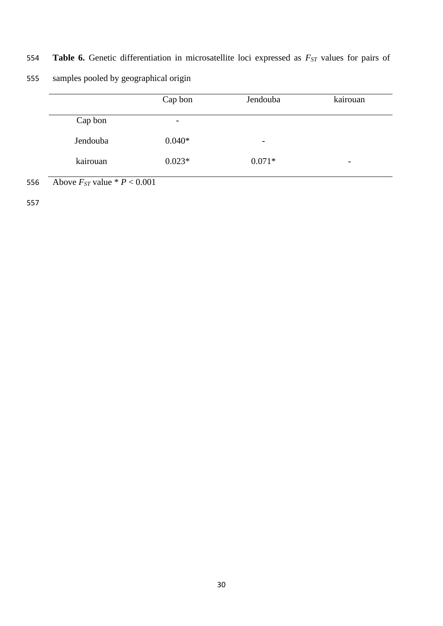554 **Table 6.** Genetic differentiation in microsatellite loci expressed as *FST* values for pairs of

| 555 | samples pooled by geographical origin |  |  |  |
|-----|---------------------------------------|--|--|--|
|     |                                       |  |  |  |

|     |                                    | Cap bon  | Jendouba                 | kairouan |
|-----|------------------------------------|----------|--------------------------|----------|
|     | Cap bon                            | -        |                          |          |
|     | Jendouba                           | $0.040*$ | $\overline{\phantom{a}}$ |          |
|     | kairouan                           | $0.023*$ | $0.071*$                 | -        |
| 556 | Above $F_{ST}$ value $* P < 0.001$ |          |                          |          |